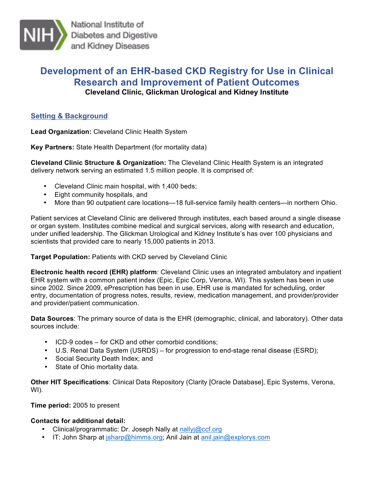

National Institute of Diabetes and Digestive and Kidney Diseases

# **Development of an EHR-based CKD Registry for Use in Clinical Research and Improvement of Patient Outcomes Cleveland Clinic, Glickman Urological and Kidney Institute**

## **Setting & Background**

**Lead Organization:** Cleveland Clinic Health System

**Key Partners:** State Health Department (for mortality data)

 **Cleveland Clinic Structure & Organization:** The Cleveland Clinic Health System is an integrated delivery network serving an estimated 1.5 million people. It is comprised of:

- Cleveland Clinic main hospital, with 1,400 beds;
- Eight community hospitals, and
- More than 90 outpatient care locations—18 full-service family health centers—in northern Ohio.

 Patient services at Cleveland Clinic are delivered through institutes, each based around a single disease or organ system. Institutes combine medical and surgical services, along with research and education, scientists that provided care to nearly 15,000 patients in 2013. under unified leadership. The Glickman Urological and Kidney Institute's has over 100 physicians and

#### **Target Population:** Patients with CKD served by Cleveland Clinic

 EHR system with a common patient index (Epic, Epic Corp, Verona, WI). This system has been in use since 2002. Since 2009, ePrescription has been in use. EHR use is mandated for scheduling, order entry, documentation of progress notes, results, review, medication management, and provider/provider **Electronic health record (EHR) platform**: Cleveland Clinic uses an integrated ambulatory and inpatient and provider/patient communication.

**Data Sources**: The primary source of data is the EHR (demographic, clinical, and laboratory). Other data sources include:

- ICD-9 codes for CKD and other comorbid conditions;
- U.S. Renal Data System (USRDS) for progression to end-stage renal disease (ESRD);
- Social Security Death Index; and
- State of Ohio mortality data.

 **Other HIT Specifications**: Clinical Data Repository (Clarity [Oracle Database], Epic Systems, Verona, WI).

**Time period:** 2005 to present

## **Contacts for additional detail:**

- Clinical/programmatic: Dr. Joseph Nally at nallyj@ccf.org
- IT: John Sharp at jsharp@himms.org; Anil Jain at anil.jain@explorys.com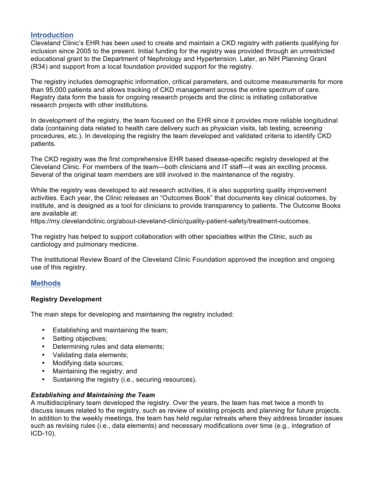## **Introduction**

 Cleveland Clinic's EHR has been used to create and maintain a CKD registry with patients qualifying for inclusion since 2005 to the present. Initial funding for the registry was provided through an unrestricted (R34) and support from a local foundation provided support for the registry. educational grant to the Department of Nephrology and Hypertension. Later, an NIH Planning Grant

 The registry includes demographic information, critical parameters, and outcome measurements for more Registry data form the basis for ongoing research projects and the clinic is initiating collaborative research projects with other institutions. than 95,000 patients and allows tracking of CKD management across the entire spectrum of care.

 data (containing data related to health care delivery such as physician visits, lab testing, screening procedures, etc.). In developing the registry the team developed and validated criteria to identify CKD In development of the registry, the team focused on the EHR since it provides more reliable longitudinal patients.

 The CKD registry was the first comprehensive EHR based disease-specific registry developed at the Cleveland Clinic. For members of the team—both clinicians and IT staff—it was an exciting process. Several of the original team members are still involved in the maintenance of the registry.

 activities. Each year, the Clinic releases an "Outcomes Book" that documents key clinical outcomes, by institute, and is designed as a tool for clinicians to provide transparency to patients. The Outcome Books While the registry was developed to aid research activities, it is also supporting quality improvement are available at:

https://my.clevelandclinic.org/about-cleveland-clinic/quality-patient-safety/treatment-outcomes.

 The registry has helped to support collaboration with other specialties within the Clinic, such as cardiology and pulmonary medicine.

 The Institutional Review Board of the Cleveland Clinic Foundation approved the inception and ongoing use of this registry.

#### **Methods**

#### **Registry Development**

The main steps for developing and maintaining the registry included:

- Establishing and maintaining the team;
- Setting objectives;
- Determining rules and data elements;
- Validating data elements;
- Modifying data sources;
- Maintaining the registry; and
- Sustaining the registry (i.e., securing resources).

#### *Establishing and Maintaining the Team*

 A multidisciplinary team developed the registry. Over the years, the team has met twice a month to discuss issues related to the registry, such as review of existing projects and planning for future projects. such as revising rules (i.e., data elements) and necessary modifications over time (e.g., integration of In addition to the weekly meetings, the team has held regular retreats where they address broader issues ICD-10).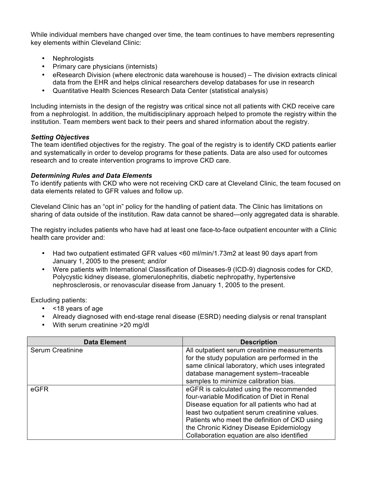While individual members have changed over time, the team continues to have members representing key elements within Cleveland Clinic:

- **Nephrologists**
- Primary care physicians (internists)
- • eResearch Division (where electronic data warehouse is housed) The division extracts clinical data from the EHR and helps clinical researchers develop databases for use in research
- Quantitative Health Sciences Research Data Center (statistical analysis)

 institution. Team members went back to their peers and shared information about the registry. Including internists in the design of the registry was critical since not all patients with CKD receive care from a nephrologist. In addition, the multidisciplinary approach helped to promote the registry within the

#### *Setting Objectives*

 The team identified objectives for the registry. The goal of the registry is to identify CKD patients earlier and systematically in order to develop programs for these patients. Data are also used for outcomes research and to create intervention programs to improve CKD care.

#### *Determining Rules and Data Elements*

 To identify patients with CKD who were not receiving CKD care at Cleveland Clinic, the team focused on data elements related to GFR values and follow up.

 Cleveland Clinic has an "opt in" policy for the handling of patient data. The Clinic has limitations on sharing of data outside of the institution. Raw data cannot be shared—only aggregated data is sharable.

 The registry includes patients who have had at least one face-to-face outpatient encounter with a Clinic health care provider and:

- • Had two outpatient estimated GFR values <60 ml/min/1.73m2 at least 90 days apart from January 1, 2005 to the present; and/or
- • Were patients with International Classification of Diseases-9 (ICD-9) diagnosis codes for CKD, Polycystic kidney disease, glomerulonephritis, diabetic nephropathy, hypertensive nephrosclerosis, or renovascular disease from January 1, 2005 to the present.

Excluding patients:

- <18 years of age
- Already diagnosed with end-stage renal disease (ESRD) needing dialysis or renal transplant
- With serum creatinine >20 mg/dl

| Data Element     | <b>Description</b>                              |
|------------------|-------------------------------------------------|
| Serum Creatinine | All outpatient serum creatinine measurements    |
|                  | for the study population are performed in the   |
|                  | same clinical laboratory, which uses integrated |
|                  | database management system-traceable            |
|                  | samples to minimize calibration bias.           |
| eGFR             | eGFR is calculated using the recommended        |
|                  | four-variable Modification of Diet in Renal     |
|                  | Disease equation for all patients who had at    |
|                  | least two outpatient serum creatinine values.   |
|                  | Patients who meet the definition of CKD using   |
|                  | the Chronic Kidney Disease Epidemiology         |
|                  | Collaboration equation are also identified      |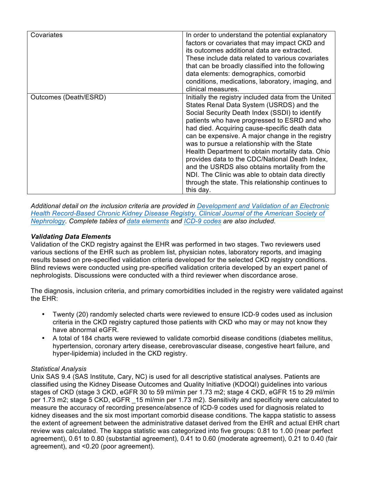| Covariates            | In order to understand the potential explanatory<br>factors or covariates that may impact CKD and<br>its outcomes additional data are extracted.<br>These include data related to various covariates<br>that can be broadly classified into the following<br>data elements: demographics, comorbid<br>conditions, medications, laboratory, imaging, and<br>clinical measures.                                                                                                                                                                                                                                                       |
|-----------------------|-------------------------------------------------------------------------------------------------------------------------------------------------------------------------------------------------------------------------------------------------------------------------------------------------------------------------------------------------------------------------------------------------------------------------------------------------------------------------------------------------------------------------------------------------------------------------------------------------------------------------------------|
| Outcomes (Death/ESRD) | Initially the registry included data from the United<br>States Renal Data System (USRDS) and the<br>Social Security Death Index (SSDI) to identify<br>patients who have progressed to ESRD and who<br>had died. Acquiring cause-specific death data<br>can be expensive. A major change in the registry<br>was to pursue a relationship with the State<br>Health Department to obtain mortality data. Ohio<br>provides data to the CDC/National Death Index,<br>and the USRDS also obtains mortality from the<br>NDI. The Clinic was able to obtain data directly<br>through the state. This relationship continues to<br>this day. |

 *Additional detail on the inclusion criteria are provided in Development and Validation of an Electronic Health Record-Based Chronic Kidney Disease Registry, Clinical Journal of the American Society of Nephrology. Complete tables of data elements and ICD-9 codes are also included.* 

#### *Validating Data Elements*

 Validation of the CKD registry against the EHR was performed in two stages. Two reviewers used various sections of the EHR such as problem list, physician notes, laboratory reports, and imaging results based on pre-specified validation criteria developed for the selected CKD registry conditions. Blind reviews were conducted using pre-specified validation criteria developed by an expert panel of nephrologists. Discussions were conducted with a third reviewer when discordance arose.

 The diagnosis, inclusion criteria, and primary comorbidities included in the registry were validated against the EHR:

- criteria in the CKD registry captured those patients with CKD who may or may not know they • Twenty (20) randomly selected charts were reviewed to ensure ICD-9 codes used as inclusion have abnormal eGFR.
- • A total of 184 charts were reviewed to validate comorbid disease conditions (diabetes mellitus, hypertension, coronary artery disease, cerebrovascular disease, congestive heart failure, and hyper-lipidemia) included in the CKD registry.

#### *Statistical Analysis*

 Unix SAS 9.4 (SAS Institute, Cary, NC) is used for all descriptive statistical analyses. Patients are classified using the Kidney Disease Outcomes and Quality Initiative (KDOQI) guidelines into various stages of CKD (stage 3 CKD, eGFR 30 to 59 ml/min per 1.73 m2; stage 4 CKD, eGFR 15 to 29 ml/min per 1.73 m2; stage 5 CKD, eGFR \_15 ml/min per 1.73 m2). Sensitivity and specificity were calculated to measure the accuracy of recording presence/absence of ICD-9 codes used for diagnosis related to kidney diseases and the six most important comorbid disease conditions. The kappa statistic to assess the extent of agreement between the administrative dataset derived from the EHR and actual EHR chart review was calculated. The kappa statistic was categorized into five groups: 0.81 to 1.00 (near perfect agreement), 0.61 to 0.80 (substantial agreement), 0.41 to 0.60 (moderate agreement), 0.21 to 0.40 (fair agreement), and <0.20 (poor agreement).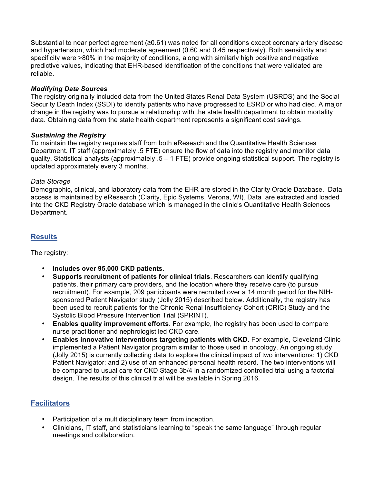Substantial to near perfect agreement (≥0.61) was noted for all conditions except coronary artery disease and hypertension, which had moderate agreement (0.60 and 0.45 respectively). Both sensitivity and specificity were >80% in the majority of conditions, along with similarly high positive and negative predictive values, indicating that EHR-based identification of the conditions that were validated are reliable.

## *Modifying Data Sources*

 The registry originally included data from the United States Renal Data System (USRDS) and the Social Security Death Index (SSDI) to identify patients who have progressed to ESRD or who had died. A major change in the registry was to pursue a relationship with the state health department to obtain mortality data. Obtaining data from the state health department represents a significant cost savings.

## *Sustaining the Registry*

 To maintain the registry requires staff from both eReseach and the Quantitative Health Sciences quality. Statistical analysts (approximately .5 – 1 FTE) provide ongoing statistical support. The registry is updated approximately every 3 months. Department. IT staff (approximately .5 FTE) ensure the flow of data into the registry and monitor data

## *Data Storage*

 Demographic, clinical, and laboratory data from the EHR are stored in the Clarity Oracle Database. Data access is maintained by eResearch (Clarity, Epic Systems, Verona, WI). Data are extracted and loaded into the CKD Registry Oracle database which is managed in the clinic's Quantitative Health Sciences Department.

## **Results**

The registry:

- **Includes over 95,000 CKD patients**.
- **Supports recruitment of patients for clinical trials**. Researchers can identify qualifying sponsored Patient Navigator study (Jolly 2015) described below. Additionally, the registry has been used to recruit patients for the Chronic Renal Insufficiency Cohort (CRIC) Study and the Systolic Blood Pressure Intervention Trial (SPRINT). patients, their primary care providers, and the location where they receive care (to pursue recruitment). For example, 209 participants were recruited over a 14 month period for the NIH-
- **Enables quality improvement efforts**. For example, the registry has been used to compare nurse practitioner and nephrologist led CKD care.
- implemented a Patient Navigator program similar to those used in oncology. An ongoing study (Jolly 2015) is currently collecting data to explore the clinical impact of two interventions: 1) CKD Patient Navigator; and 2) use of an enhanced personal health record. The two interventions will be compared to usual care for CKD Stage 3b/4 in a randomized controlled trial using a factorial design. The results of this clinical trial will be available in Spring 2016. • **Enables innovative interventions targeting patients with CKD**. For example, Cleveland Clinic

## **Facilitators**

- Participation of a multidisciplinary team from inception.
- • Clinicians, IT staff, and statisticians learning to "speak the same language" through regular meetings and collaboration.